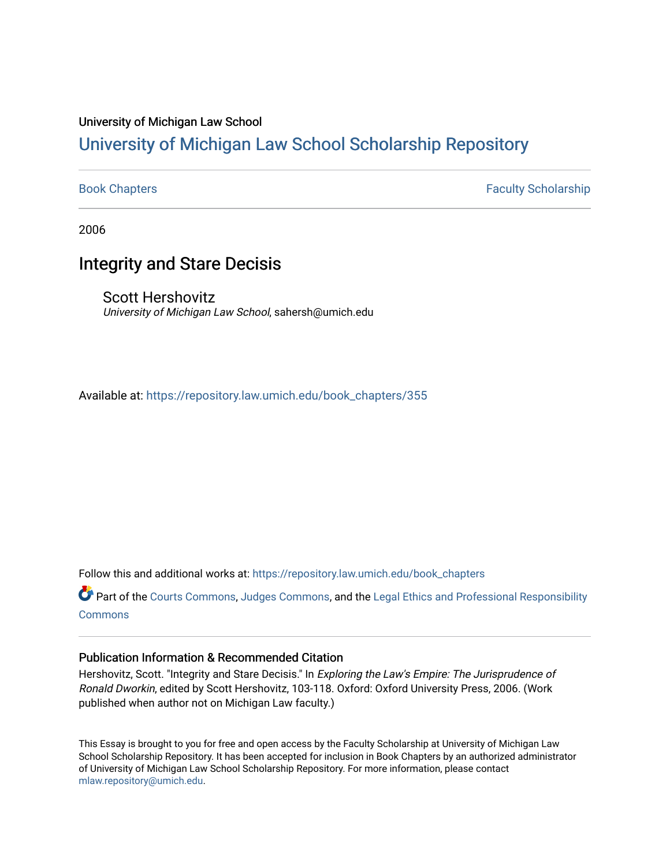## University of Michigan Law School

# [University of Michigan Law School Scholarship Repository](https://repository.law.umich.edu/)

[Book Chapters](https://repository.law.umich.edu/book_chapters) Faculty Scholarship

2006

# Integrity and Stare Decisis

Scott Hershovitz

University of Michigan Law School, sahersh@umich.edu

Available at: [https://repository.law.umich.edu/book\\_chapters/355](https://repository.law.umich.edu/book_chapters/355) 

Follow this and additional works at: [https://repository.law.umich.edu/book\\_chapters](https://repository.law.umich.edu/book_chapters?utm_source=repository.law.umich.edu%2Fbook_chapters%2F355&utm_medium=PDF&utm_campaign=PDFCoverPages)

Part of the [Courts Commons,](https://network.bepress.com/hgg/discipline/839?utm_source=repository.law.umich.edu%2Fbook_chapters%2F355&utm_medium=PDF&utm_campaign=PDFCoverPages) [Judges Commons](https://network.bepress.com/hgg/discipline/849?utm_source=repository.law.umich.edu%2Fbook_chapters%2F355&utm_medium=PDF&utm_campaign=PDFCoverPages), and the [Legal Ethics and Professional Responsibility](https://network.bepress.com/hgg/discipline/895?utm_source=repository.law.umich.edu%2Fbook_chapters%2F355&utm_medium=PDF&utm_campaign=PDFCoverPages)  **[Commons](https://network.bepress.com/hgg/discipline/895?utm_source=repository.law.umich.edu%2Fbook_chapters%2F355&utm_medium=PDF&utm_campaign=PDFCoverPages)** 

## Publication Information & Recommended Citation

Hershovitz, Scott. "Integrity and Stare Decisis." In Exploring the Law's Empire: The Jurisprudence of Ronald Dworkin, edited by Scott Hershovitz, 103-118. Oxford: Oxford University Press, 2006. (Work published when author not on Michigan Law faculty.)

This Essay is brought to you for free and open access by the Faculty Scholarship at University of Michigan Law School Scholarship Repository. It has been accepted for inclusion in Book Chapters by an authorized administrator of University of Michigan Law School Scholarship Repository. For more information, please contact [mlaw.repository@umich.edu.](mailto:mlaw.repository@umich.edu)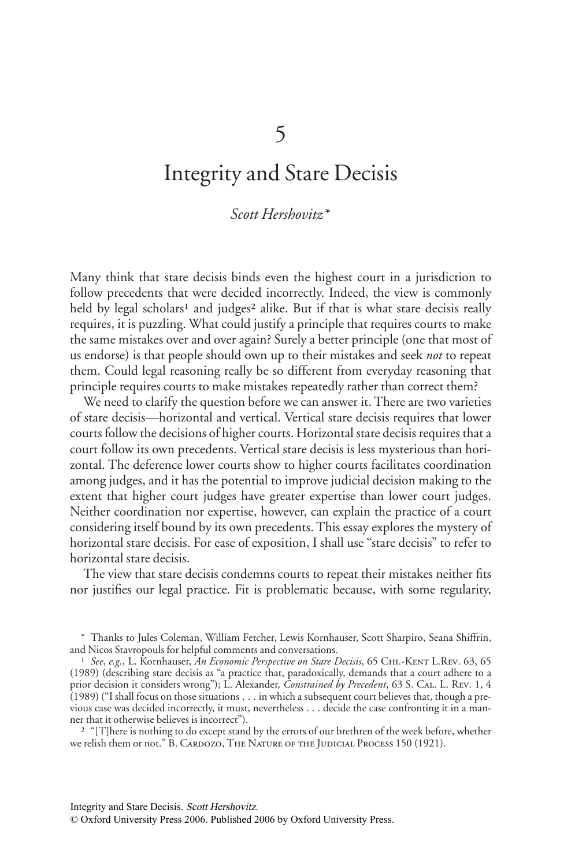# Integrity and Stare Decisis

## *Scott Hershovitz\**

Many think that stare decisis binds even the highest court in a jurisdiction to follow precedents that were decided incorrectly. Indeed, the view is commonly held by legal scholars<sup>1</sup> and judges<sup>2</sup> alike. But if that is what stare decisis really requires, it is puzzling. What could justify a principle that requires courts to make the same mistakes over and over again? Surely a better principle (one that most of us endorse) is that people should own up to their mistakes and seek *not* to repeat them. Could legal reasoning really be so different from everyday reasoning that principle requires courts to make mistakes repeatedly rather than correct them?

We need to clarify the question before we can answer it. There are two varieties of stare decisis—horizontal and vertical. Vertical stare decisis requires that lower courts follow the decisions of higher courts. Horizontal stare decisis requires that a court follow its own precedents. Vertical stare decisis is less mysterious than horizontal. The deference lower courts show to higher courts facilitates coordination among judges, and it has the potential to improve judicial decision making to the extent that higher court judges have greater expertise than lower court judges. Neither coordination nor expertise, however, can explain the practice of a court considering itself bound by its own precedents. This essay explores the mystery of horizontal stare decisis. For ease of exposition, I shall use "stare decisis" to refer to horizontal stare decisis.

The view that stare decisis condemns courts to repeat their mistakes neither fits nor justifies our legal practice. Fit is problematic because, with some regularity,

\* Thanks to Jules Coleman, William Fetcher, Lewis Kornhauser, Scott Sharpiro, Seana Shiffrin, and Nicos Stavropouls for helpful comments and conversations.

<sup>2</sup> "[T]here is nothing to do except stand by the errors of our brethren of the week before, whether we relish them or not." B. CARDOZO, THE NATURE OF THE JUDICIAL PROCESS 150 (1921).

© Oxford University Press 2006. Published 2006 by Oxford University Press.

¹ *See*, *e.g.*, L. Kornhauser, *An Economic Perspective on Stare Decisis*, 65 Chi.-Kent L.Rev. 63, 65 (1989) (describing stare decisis as "a practice that, paradoxically, demands that a court adhere to a prior decision it considers wrong"); L. Alexander, *Constrained by Precedent*, 63 S. Cal. L. Rev. 1, 4 (1989) ("I shall focus on those situations . . . in which a subsequent court believes that, though a previous case was decided incorrectly, it must, nevertheless... decide the case confronting it in a manner that it otherwise believes is incorrect").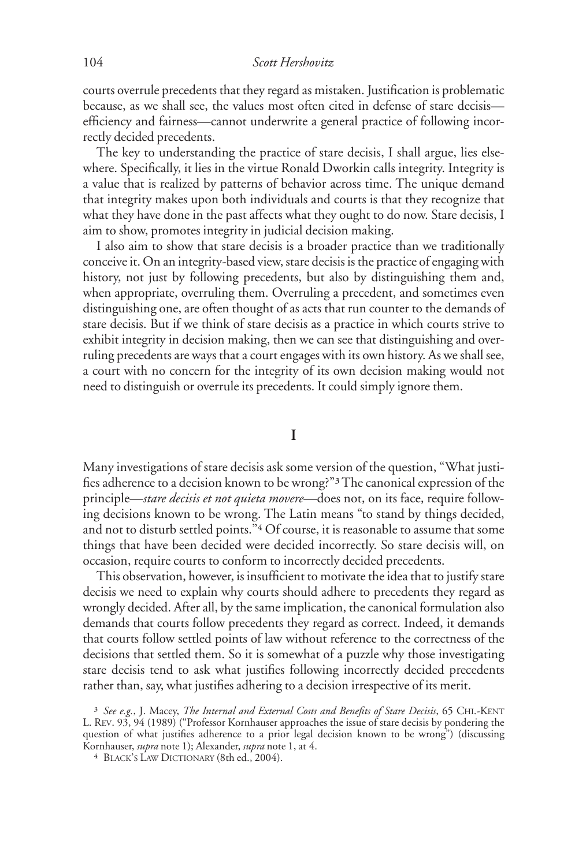courts overrule precedents that they regard as mistaken. Justification is problematic because, as we shall see, the values most often cited in defense of stare decisis efficiency and fairness—cannot underwrite a general practice of following incorrectly decided precedents.

The key to understanding the practice of stare decisis, I shall argue, lies elsewhere. Specifically, it lies in the virtue Ronald Dworkin calls integrity. Integrity is a value that is realized by patterns of behavior across time. The unique demand that integrity makes upon both individuals and courts is that they recognize that what they have done in the past affects what they ought to do now. Stare decisis, I aim to show, promotes integrity in judicial decision making.

I also aim to show that stare decisis is a broader practice than we traditionally conceive it. On an integrity-based view, stare decisis is the practice of engaging with history, not just by following precedents, but also by distinguishing them and, when appropriate, overruling them. Overruling a precedent, and sometimes even distinguishing one, are often thought of as acts that run counter to the demands of stare decisis. But if we think of stare decisis as a practice in which courts strive to exhibit integrity in decision making, then we can see that distinguishing and overruling precedents are ways that a court engages with its own history. As we shall see, a court with no concern for the integrity of its own decision making would not need to distinguish or overrule its precedents. It could simply ignore them.

**I**

Many investigations of stare decisis ask some version of the question, "What justifies adherence to a decision known to be wrong?"<sup>3</sup> The canonical expression of the principle—*stare decisis et not quieta movere—*does not, on its face, require following decisions known to be wrong. The Latin means "to stand by things decided, and not to disturb settled points."4 Of course, it is reasonable to assume that some things that have been decided were decided incorrectly. So stare decisis will, on occasion, require courts to conform to incorrectly decided precedents.

This observation, however, is insufficient to motivate the idea that to justify stare decisis we need to explain why courts should adhere to precedents they regard as wrongly decided. After all, by the same implication, the canonical formulation also demands that courts follow precedents they regard as correct. Indeed, it demands that courts follow settled points of law without reference to the correctness of the decisions that settled them. So it is somewhat of a puzzle why those investigating stare decisis tend to ask what justifies following incorrectly decided precedents rather than, say, what justifies adhering to a decision irrespective of its merit.

³ *See e.g.*, J. Macey, *The Internal and External Costs and Benefits of Stare Decisis*, 65 CHI.-KENT L. REV. 93, 94 (1989) ("Professor Kornhauser approaches the issue of stare decisis by pondering the question of what justifies adherence to a prior legal decision known to be wrong") (discussing Kornhauser, *supra* note 1); Alexander, *supra* note 1, at 4.

⁴ BLACK'S LAW DICTIONARY (8th ed., 2004).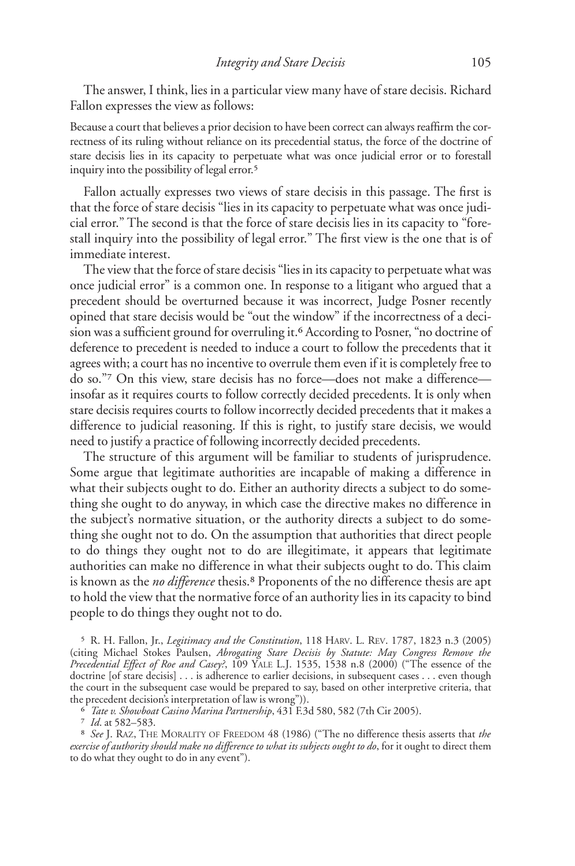The answer, I think, lies in a particular view many have of stare decisis. Richard Fallon expresses the view as follows:

Because a court that believes a prior decision to have been correct can always reaffirm the correctness of its ruling without reliance on its precedential status, the force of the doctrine of stare decisis lies in its capacity to perpetuate what was once judicial error or to forestall inquiry into the possibility of legal error.<sup>5</sup>

Fallon actually expresses two views of stare decisis in this passage. The first is that the force of stare decisis "lies in its capacity to perpetuate what was once judicial error." The second is that the force of stare decisis lies in its capacity to "forestall inquiry into the possibility of legal error." The first view is the one that is of immediate interest.

The view that the force of stare decisis "lies in its capacity to perpetuate what was once judicial error" is a common one. In response to a litigant who argued that a precedent should be overturned because it was incorrect, Judge Posner recently opined that stare decisis would be "out the window" if the incorrectness of a decision was a sufficient ground for overruling it.<sup>6</sup> According to Posner, "no doctrine of deference to precedent is needed to induce a court to follow the precedents that it agrees with; a court has no incentive to overrule them even if it is completely free to do so."7 On this view, stare decisis has no force—does not make a difference insofar as it requires courts to follow correctly decided precedents. It is only when stare decisis requires courts to follow incorrectly decided precedents that it makes a difference to judicial reasoning. If this is right, to justify stare decisis, we would need to justify a practice of following incorrectly decided precedents.

The structure of this argument will be familiar to students of jurisprudence. Some argue that legitimate authorities are incapable of making a difference in what their subjects ought to do. Either an authority directs a subject to do something she ought to do anyway, in which case the directive makes no difference in the subject's normative situation, or the authority directs a subject to do something she ought not to do. On the assumption that authorities that direct people to do things they ought not to do are illegitimate, it appears that legitimate authorities can make no difference in what their subjects ought to do. This claim is known as the *no difference* thesis.<sup>8</sup> Proponents of the no difference thesis are apt to hold the view that the normative force of an authority lies in its capacity to bind people to do things they ought not to do.

⁵ R. H. Fallon, Jr., *Legitimacy and the Constitution*, 118 HARV. L. REV. 1787, 1823 n.3 (2005) (citing Michael Stokes Paulsen, *Abrogating Stare Decisis by Statute: May Congress Remove the Precedential Effect of Roe and Casey?*, 109 YALE L.J. 1535, 1538 n.8 (2000) ("The essence of the doctrine [of stare decisis] . . . is adherence to earlier decisions, in subsequent cases . . . even though the court in the subsequent case would be prepared to say, based on other interpretive criteria, that the precedent decision's interpretation of law is wrong")).

⁶ *Tate v. Showboat Casino Marina Partnership*, 431 F.3d 580, 582 (7th Cir 2005).

⁷ *Id*. at 582–583.

⁸ *See* J. RAZ, THE MORALITY OF FREEDOM 48 (1986) ("The no difference thesis asserts that *the exercise of authority should make no difference to what its subjects ought to do*, for it ought to direct them to do what they ought to do in any event").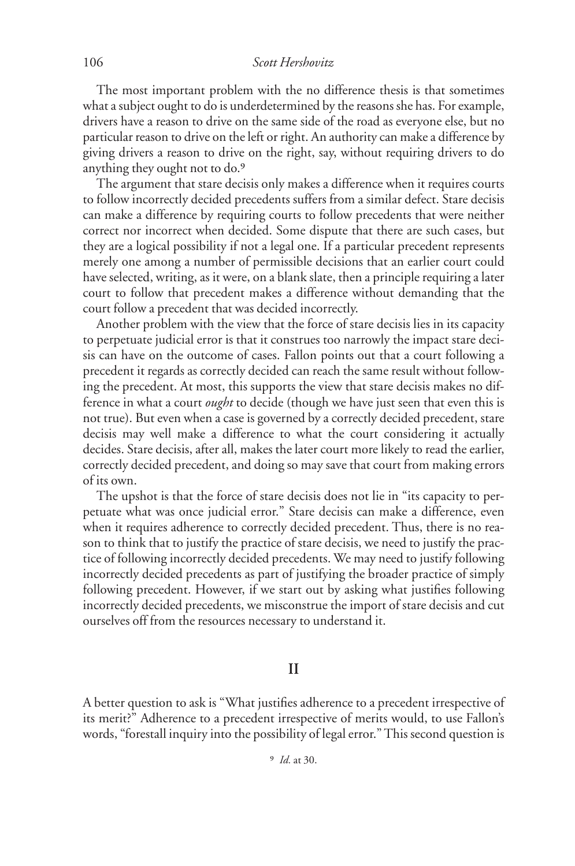The most important problem with the no difference thesis is that sometimes what a subject ought to do is underdetermined by the reasons she has. For example, drivers have a reason to drive on the same side of the road as everyone else, but no particular reason to drive on the left or right. An authority can make a difference by giving drivers a reason to drive on the right, say, without requiring drivers to do anything they ought not to do.<sup>9</sup>

The argument that stare decisis only makes a difference when it requires courts to follow incorrectly decided precedents suffers from a similar defect. Stare decisis can make a difference by requiring courts to follow precedents that were neither correct nor incorrect when decided. Some dispute that there are such cases, but they are a logical possibility if not a legal one. If a particular precedent represents merely one among a number of permissible decisions that an earlier court could have selected, writing, as it were, on a blank slate, then a principle requiring a later court to follow that precedent makes a difference without demanding that the court follow a precedent that was decided incorrectly.

Another problem with the view that the force of stare decisis lies in its capacity to perpetuate judicial error is that it construes too narrowly the impact stare decisis can have on the outcome of cases. Fallon points out that a court following a precedent it regards as correctly decided can reach the same result without following the precedent. At most, this supports the view that stare decisis makes no difference in what a court *ought* to decide (though we have just seen that even this is not true). But even when a case is governed by a correctly decided precedent, stare decisis may well make a difference to what the court considering it actually decides. Stare decisis, after all, makes the later court more likely to read the earlier, correctly decided precedent, and doing so may save that court from making errors of its own.

The upshot is that the force of stare decisis does not lie in "its capacity to perpetuate what was once judicial error." Stare decisis can make a difference, even when it requires adherence to correctly decided precedent. Thus, there is no reason to think that to justify the practice of stare decisis, we need to justify the practice of following incorrectly decided precedents. We may need to justify following incorrectly decided precedents as part of justifying the broader practice of simply following precedent. However, if we start out by asking what justifies following incorrectly decided precedents, we misconstrue the import of stare decisis and cut ourselves off from the resources necessary to understand it.

#### **II**

A better question to ask is "What justifies adherence to a precedent irrespective of its merit?" Adherence to a precedent irrespective of merits would, to use Fallon's words, "forestall inquiry into the possibility of legal error." This second question is

⁹ *Id.* at 30.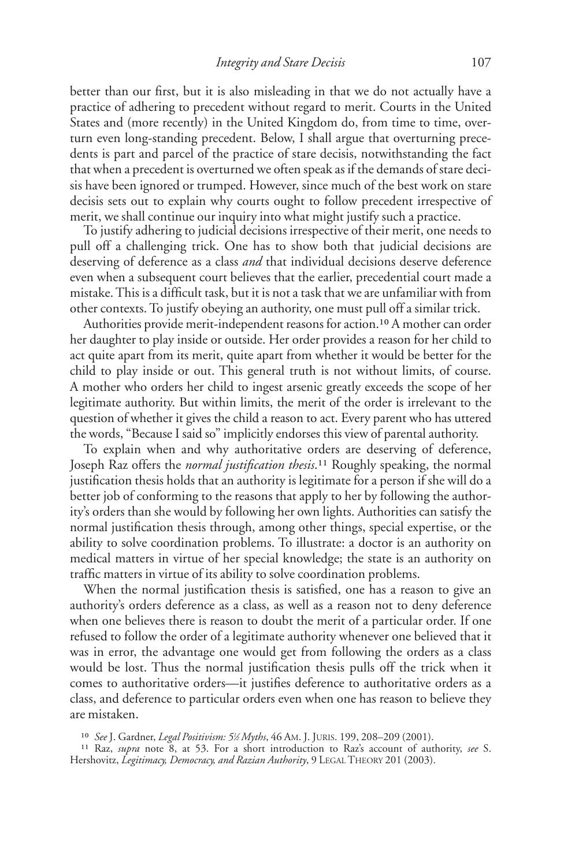better than our first, but it is also misleading in that we do not actually have a practice of adhering to precedent without regard to merit. Courts in the United States and (more recently) in the United Kingdom do, from time to time, overturn even long-standing precedent. Below, I shall argue that overturning precedents is part and parcel of the practice of stare decisis, notwithstanding the fact that when a precedent is overturned we often speak as if the demands of stare decisis have been ignored or trumped. However, since much of the best work on stare decisis sets out to explain why courts ought to follow precedent irrespective of merit, we shall continue our inquiry into what might justify such a practice.

To justify adhering to judicial decisions irrespective of their merit, one needs to pull off a challenging trick. One has to show both that judicial decisions are deserving of deference as a class *and* that individual decisions deserve deference even when a subsequent court believes that the earlier, precedential court made a mistake. This is a difficult task, but it is not a task that we are unfamiliar with from other contexts. To justify obeying an authority, one must pull off a similar trick.

Authorities provide merit-independent reasons for action.<sup>10</sup> A mother can order her daughter to play inside or outside. Her order provides a reason for her child to act quite apart from its merit, quite apart from whether it would be better for the child to play inside or out. This general truth is not without limits, of course. A mother who orders her child to ingest arsenic greatly exceeds the scope of her legitimate authority. But within limits, the merit of the order is irrelevant to the question of whether it gives the child a reason to act. Every parent who has uttered the words, "Because I said so" implicitly endorses this view of parental authority.

To explain when and why authoritative orders are deserving of deference, Joseph Raz offers the *normal justification thesis*.<sup>11</sup> Roughly speaking, the normal justification thesis holds that an authority is legitimate for a person if she will do a better job of conforming to the reasons that apply to her by following the authority's orders than she would by following her own lights. Authorities can satisfy the normal justification thesis through, among other things, special expertise, or the ability to solve coordination problems. To illustrate: a doctor is an authority on medical matters in virtue of her special knowledge; the state is an authority on traffic matters in virtue of its ability to solve coordination problems.

When the normal justification thesis is satisfied, one has a reason to give an authority's orders deference as a class, as well as a reason not to deny deference when one believes there is reason to doubt the merit of a particular order. If one refused to follow the order of a legitimate authority whenever one believed that it was in error, the advantage one would get from following the orders as a class would be lost. Thus the normal justification thesis pulls off the trick when it comes to authoritative orders—it justifies deference to authoritative orders as a class, and deference to particular orders even when one has reason to believe they are mistaken.

¹⁰ *See* J. Gardner, *Legal Positivism: 51 ⁄2 Myths*, 46 AM. J. JURIS. 199, 208–209 (2001).

<sup>11</sup> Raz, *supra* note 8, at 53. For a short introduction to Raz's account of authority, see S. Hershovitz, *Legitimacy, Democracy, and Razian Authority*, 9 LEGAL THEORY 201 (2003).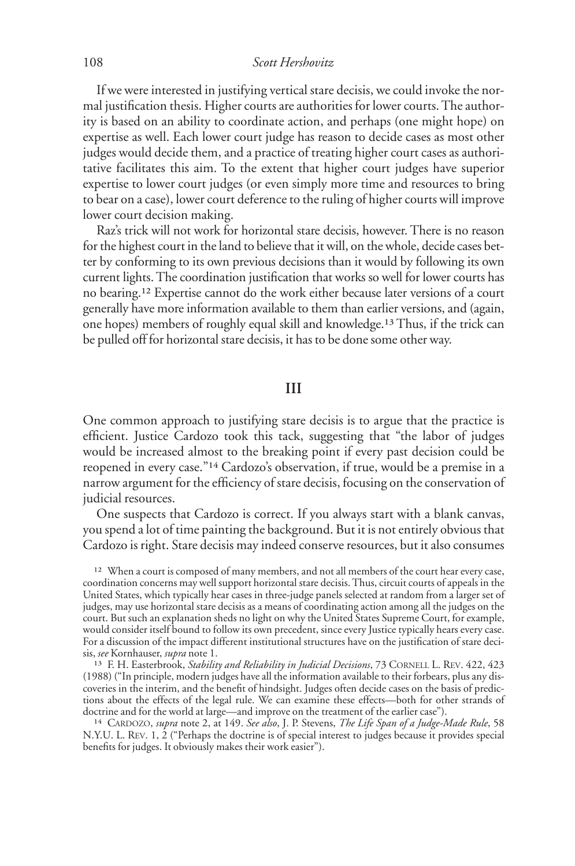#### 108 *Scott Hershovitz*

If we were interested in justifying vertical stare decisis, we could invoke the normal justification thesis. Higher courts are authorities for lower courts. The authority is based on an ability to coordinate action, and perhaps (one might hope) on expertise as well. Each lower court judge has reason to decide cases as most other judges would decide them, and a practice of treating higher court cases as authoritative facilitates this aim. To the extent that higher court judges have superior expertise to lower court judges (or even simply more time and resources to bring to bear on a case), lower court deference to the ruling of higher courts will improve lower court decision making.

Raz's trick will not work for horizontal stare decisis, however. There is no reason for the highest court in the land to believe that it will, on the whole, decide cases better by conforming to its own previous decisions than it would by following its own current lights. The coordination justification that works so well for lower courts has no bearing.<sup>12</sup> Expertise cannot do the work either because later versions of a court generally have more information available to them than earlier versions, and (again, one hopes) members of roughly equal skill and knowledge.<sup>13</sup> Thus, if the trick can be pulled off for horizontal stare decisis, it has to be done some other way.

#### **III**

One common approach to justifying stare decisis is to argue that the practice is efficient. Justice Cardozo took this tack, suggesting that "the labor of judges would be increased almost to the breaking point if every past decision could be reopened in every case."<sup>14</sup> Cardozo's observation, if true, would be a premise in a narrow argument for the efficiency of stare decisis, focusing on the conservation of judicial resources.

One suspects that Cardozo is correct. If you always start with a blank canvas, you spend a lot of time painting the background. But it is not entirely obvious that Cardozo is right. Stare decisis may indeed conserve resources, but it also consumes

<sup>12</sup> When a court is composed of many members, and not all members of the court hear every case, coordination concerns may well support horizontal stare decisis. Thus, circuit courts of appeals in the United States, which typically hear cases in three-judge panels selected at random from a larger set of judges, may use horizontal stare decisis as a means of coordinating action among all the judges on the court. But such an explanation sheds no light on why the United States Supreme Court, for example, would consider itself bound to follow its own precedent, since every Justice typically hears every case. For a discussion of the impact different institutional structures have on the justification of stare decisis, *see* Kornhauser, *supra* note 1.

<sup>13</sup> F. H. Easterbrook, *Stability and Reliability in Judicial Decisions*, 73 CORNELL L. REV. 422, 423 (1988) ("In principle, modern judges have all the information available to their forbears, plus any discoveries in the interim, and the benefit of hindsight. Judges often decide cases on the basis of predictions about the effects of the legal rule. We can examine these effects—both for other strands of doctrine and for the world at large—and improve on the treatment of the earlier case").

<sup>14</sup> CARDOZO, *supra* note 2, at 149. *See also*, J. P. Stevens, *The Life Span of a Judge-Made Rule*, 58 N.Y.U. L. REV. 1, 2 ("Perhaps the doctrine is of special interest to judges because it provides special benefits for judges. It obviously makes their work easier").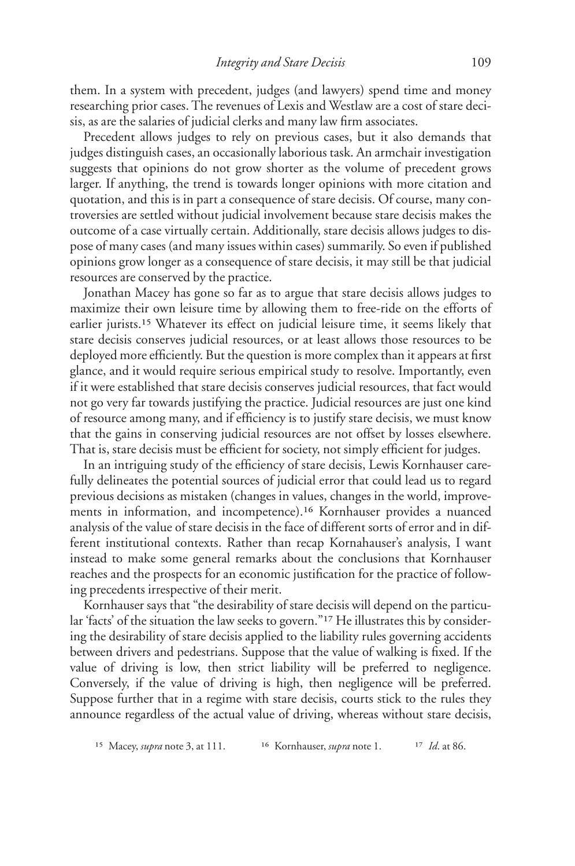them. In a system with precedent, judges (and lawyers) spend time and money researching prior cases. The revenues of Lexis and Westlaw are a cost of stare decisis, as are the salaries of judicial clerks and many law firm associates.

Precedent allows judges to rely on previous cases, but it also demands that judges distinguish cases, an occasionally laborious task. An armchair investigation suggests that opinions do not grow shorter as the volume of precedent grows larger. If anything, the trend is towards longer opinions with more citation and quotation, and this is in part a consequence of stare decisis. Of course, many controversies are settled without judicial involvement because stare decisis makes the outcome of a case virtually certain. Additionally, stare decisis allows judges to dispose of many cases (and many issues within cases) summarily. So even if published opinions grow longer as a consequence of stare decisis, it may still be that judicial resources are conserved by the practice.

Jonathan Macey has gone so far as to argue that stare decisis allows judges to maximize their own leisure time by allowing them to free-ride on the efforts of earlier jurists.<sup>15</sup> Whatever its effect on judicial leisure time, it seems likely that stare decisis conserves judicial resources, or at least allows those resources to be deployed more efficiently. But the question is more complex than it appears at first glance, and it would require serious empirical study to resolve. Importantly, even if it were established that stare decisis conserves judicial resources, that fact would not go very far towards justifying the practice. Judicial resources are just one kind of resource among many, and if efficiency is to justify stare decisis, we must know that the gains in conserving judicial resources are not offset by losses elsewhere. That is, stare decisis must be efficient for society, not simply efficient for judges.

In an intriguing study of the efficiency of stare decisis, Lewis Kornhauser carefully delineates the potential sources of judicial error that could lead us to regard previous decisions as mistaken (changes in values, changes in the world, improvements in information, and incompetence).<sup>16</sup> Kornhauser provides a nuanced analysis of the value of stare decisis in the face of different sorts of error and in different institutional contexts. Rather than recap Kornahauser's analysis, I want instead to make some general remarks about the conclusions that Kornhauser reaches and the prospects for an economic justification for the practice of following precedents irrespective of their merit.

Kornhauser says that "the desirability of stare decisis will depend on the particular 'facts' of the situation the law seeks to govern."<sup>17</sup> He illustrates this by considering the desirability of stare decisis applied to the liability rules governing accidents between drivers and pedestrians. Suppose that the value of walking is fixed. If the value of driving is low, then strict liability will be preferred to negligence. Conversely, if the value of driving is high, then negligence will be preferred. Suppose further that in a regime with stare decisis, courts stick to the rules they announce regardless of the actual value of driving, whereas without stare decisis,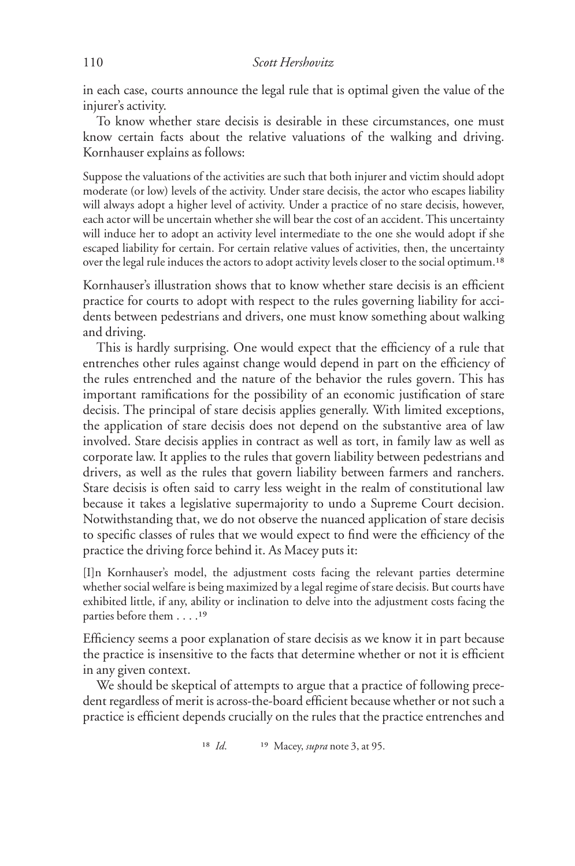in each case, courts announce the legal rule that is optimal given the value of the injurer's activity.

To know whether stare decisis is desirable in these circumstances, one must know certain facts about the relative valuations of the walking and driving. Kornhauser explains as follows:

Suppose the valuations of the activities are such that both injurer and victim should adopt moderate (or low) levels of the activity. Under stare decisis, the actor who escapes liability will always adopt a higher level of activity. Under a practice of no stare decisis, however, each actor will be uncertain whether she will bear the cost of an accident. This uncertainty will induce her to adopt an activity level intermediate to the one she would adopt if she escaped liability for certain. For certain relative values of activities, then, the uncertainty over the legal rule induces the actors to adopt activity levels closer to the social optimum.<sup>18</sup>

Kornhauser's illustration shows that to know whether stare decisis is an efficient practice for courts to adopt with respect to the rules governing liability for accidents between pedestrians and drivers, one must know something about walking and driving.

This is hardly surprising. One would expect that the efficiency of a rule that entrenches other rules against change would depend in part on the efficiency of the rules entrenched and the nature of the behavior the rules govern. This has important ramifications for the possibility of an economic justification of stare decisis. The principal of stare decisis applies generally. With limited exceptions, the application of stare decisis does not depend on the substantive area of law involved. Stare decisis applies in contract as well as tort, in family law as well as corporate law. It applies to the rules that govern liability between pedestrians and drivers, as well as the rules that govern liability between farmers and ranchers. Stare decisis is often said to carry less weight in the realm of constitutional law because it takes a legislative supermajority to undo a Supreme Court decision. Notwithstanding that, we do not observe the nuanced application of stare decisis to specific classes of rules that we would expect to find were the efficiency of the practice the driving force behind it. As Macey puts it:

[I]n Kornhauser's model, the adjustment costs facing the relevant parties determine whether social welfare is being maximized by a legal regime of stare decisis. But courts have exhibited little, if any, ability or inclination to delve into the adjustment costs facing the parties before them . . . .<sup>19</sup>

Efficiency seems a poor explanation of stare decisis as we know it in part because the practice is insensitive to the facts that determine whether or not it is efficient in any given context.

We should be skeptical of attempts to argue that a practice of following precedent regardless of merit is across-the-board efficient because whether or not such a practice is efficient depends crucially on the rules that the practice entrenches and

<sup>18</sup> *Id.* <sup>19</sup> Macey, *supra* note 3, at 95.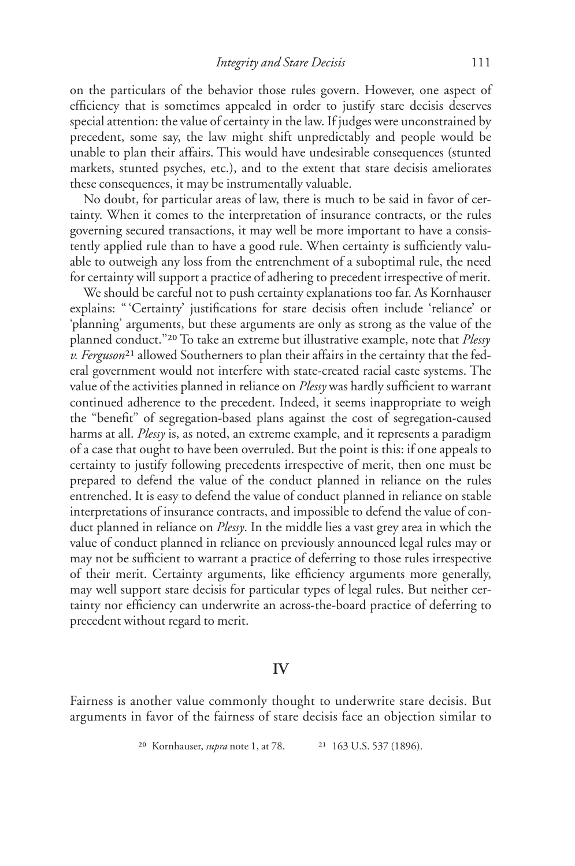on the particulars of the behavior those rules govern. However, one aspect of efficiency that is sometimes appealed in order to justify stare decisis deserves special attention: the value of certainty in the law. If judges were unconstrained by precedent, some say, the law might shift unpredictably and people would be unable to plan their affairs. This would have undesirable consequences (stunted markets, stunted psyches, etc.), and to the extent that stare decisis ameliorates these consequences, it may be instrumentally valuable.

No doubt, for particular areas of law, there is much to be said in favor of certainty. When it comes to the interpretation of insurance contracts, or the rules governing secured transactions, it may well be more important to have a consistently applied rule than to have a good rule. When certainty is sufficiently valuable to outweigh any loss from the entrenchment of a suboptimal rule, the need for certainty will support a practice of adhering to precedent irrespective of merit.

We should be careful not to push certainty explanations too far. As Kornhauser explains: " 'Certainty' justifications for stare decisis often include 'reliance' or 'planning' arguments, but these arguments are only as strong as the value of the planned conduct."²⁰ To take an extreme but illustrative example, note that *Plessy v. Ferguson*<sup>21</sup> allowed Southerners to plan their affairs in the certainty that the federal government would not interfere with state-created racial caste systems. The value of the activities planned in reliance on *Plessy* was hardly sufficient to warrant continued adherence to the precedent. Indeed, it seems inappropriate to weigh the "benefit" of segregation-based plans against the cost of segregation-caused harms at all. *Plessy* is, as noted, an extreme example, and it represents a paradigm of a case that ought to have been overruled. But the point is this: if one appeals to certainty to justify following precedents irrespective of merit, then one must be prepared to defend the value of the conduct planned in reliance on the rules entrenched. It is easy to defend the value of conduct planned in reliance on stable interpretations of insurance contracts, and impossible to defend the value of conduct planned in reliance on *Plessy*. In the middle lies a vast grey area in which the value of conduct planned in reliance on previously announced legal rules may or may not be sufficient to warrant a practice of deferring to those rules irrespective of their merit. Certainty arguments, like efficiency arguments more generally, may well support stare decisis for particular types of legal rules. But neither certainty nor efficiency can underwrite an across-the-board practice of deferring to precedent without regard to merit.

#### **IV**

Fairness is another value commonly thought to underwrite stare decisis. But arguments in favor of the fairness of stare decisis face an objection similar to

<sup>20</sup> Kornhauser, *supra* note 1, at 78. <sup>21</sup> 163 U.S. 537 (1896).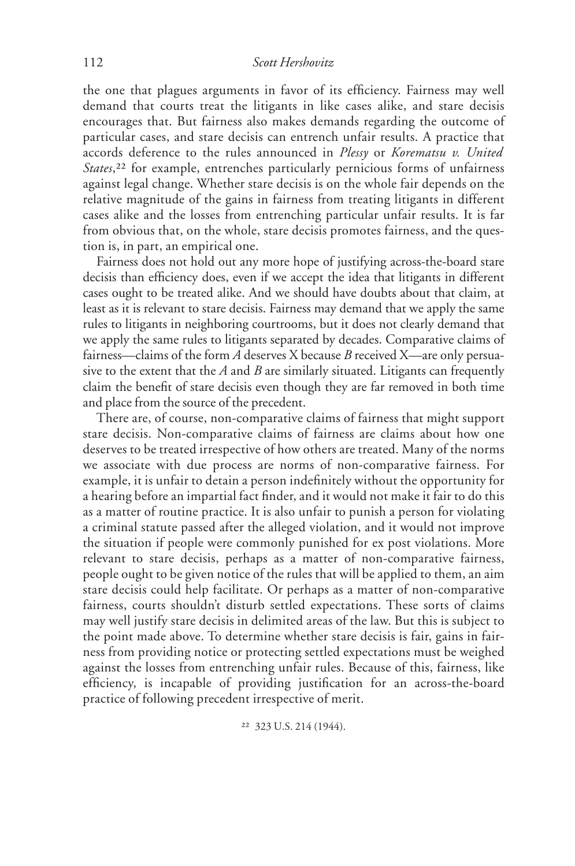the one that plagues arguments in favor of its efficiency. Fairness may well demand that courts treat the litigants in like cases alike, and stare decisis encourages that. But fairness also makes demands regarding the outcome of particular cases, and stare decisis can entrench unfair results. A practice that accords deference to the rules announced in *Plessy* or *Korematsu v. United States*,<sup>22</sup> for example, entrenches particularly pernicious forms of unfairness against legal change. Whether stare decisis is on the whole fair depends on the relative magnitude of the gains in fairness from treating litigants in different cases alike and the losses from entrenching particular unfair results. It is far from obvious that, on the whole, stare decisis promotes fairness, and the question is, in part, an empirical one.

Fairness does not hold out any more hope of justifying across-the-board stare decisis than efficiency does, even if we accept the idea that litigants in different cases ought to be treated alike. And we should have doubts about that claim, at least as it is relevant to stare decisis. Fairness may demand that we apply the same rules to litigants in neighboring courtrooms, but it does not clearly demand that we apply the same rules to litigants separated by decades. Comparative claims of fairness—claims of the form *A* deserves X because *B* received X—are only persuasive to the extent that the *A* and *B* are similarly situated. Litigants can frequently claim the benefit of stare decisis even though they are far removed in both time and place from the source of the precedent.

There are, of course, non-comparative claims of fairness that might support stare decisis. Non-comparative claims of fairness are claims about how one deserves to be treated irrespective of how others are treated. Many of the norms we associate with due process are norms of non-comparative fairness. For example, it is unfair to detain a person indefinitely without the opportunity for a hearing before an impartial fact finder, and it would not make it fair to do this as a matter of routine practice. It is also unfair to punish a person for violating a criminal statute passed after the alleged violation, and it would not improve the situation if people were commonly punished for ex post violations. More relevant to stare decisis, perhaps as a matter of non-comparative fairness, people ought to be given notice of the rules that will be applied to them, an aim stare decisis could help facilitate. Or perhaps as a matter of non-comparative fairness, courts shouldn't disturb settled expectations. These sorts of claims may well justify stare decisis in delimited areas of the law. But this is subject to the point made above. To determine whether stare decisis is fair, gains in fairness from providing notice or protecting settled expectations must be weighed against the losses from entrenching unfair rules. Because of this, fairness, like efficiency, is incapable of providing justification for an across-the-board practice of following precedent irrespective of merit.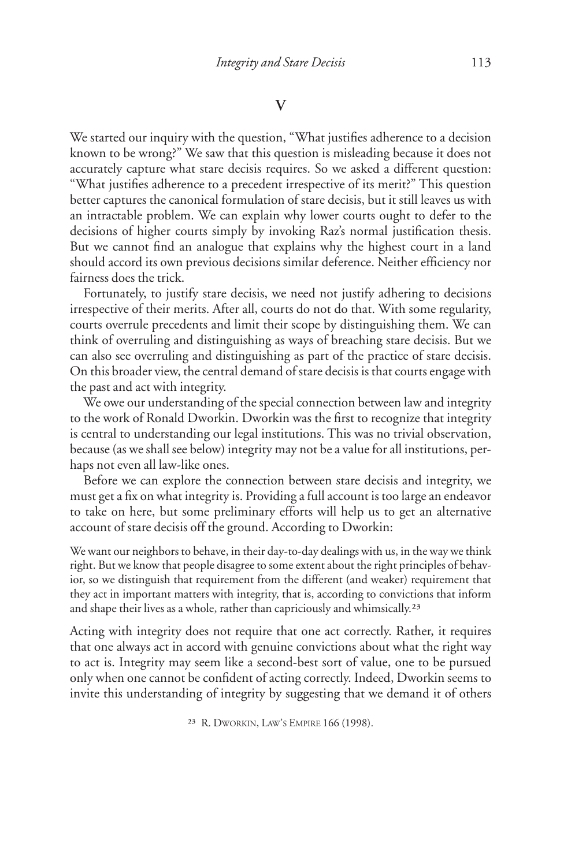We started our inquiry with the question, "What justifies adherence to a decision known to be wrong?" We saw that this question is misleading because it does not accurately capture what stare decisis requires. So we asked a different question: "What justifies adherence to a precedent irrespective of its merit?" This question better captures the canonical formulation of stare decisis, but it still leaves us with an intractable problem. We can explain why lower courts ought to defer to the decisions of higher courts simply by invoking Raz's normal justification thesis. But we cannot find an analogue that explains why the highest court in a land should accord its own previous decisions similar deference. Neither efficiency nor fairness does the trick.

Fortunately, to justify stare decisis, we need not justify adhering to decisions irrespective of their merits. After all, courts do not do that. With some regularity, courts overrule precedents and limit their scope by distinguishing them. We can think of overruling and distinguishing as ways of breaching stare decisis. But we can also see overruling and distinguishing as part of the practice of stare decisis. On this broader view, the central demand of stare decisis is that courts engage with the past and act with integrity.

We owe our understanding of the special connection between law and integrity to the work of Ronald Dworkin. Dworkin was the first to recognize that integrity is central to understanding our legal institutions. This was no trivial observation, because (as we shall see below) integrity may not be a value for all institutions, perhaps not even all law-like ones.

Before we can explore the connection between stare decisis and integrity, we must get a fix on what integrity is. Providing a full account is too large an endeavor to take on here, but some preliminary efforts will help us to get an alternative account of stare decisis off the ground. According to Dworkin:

We want our neighbors to behave, in their day-to-day dealings with us, in the way we think right. But we know that people disagree to some extent about the right principles of behavior, so we distinguish that requirement from the different (and weaker) requirement that they act in important matters with integrity, that is, according to convictions that inform and shape their lives as a whole, rather than capriciously and whimsically.<sup>23</sup>

Acting with integrity does not require that one act correctly. Rather, it requires that one always act in accord with genuine convictions about what the right way to act is. Integrity may seem like a second-best sort of value, one to be pursued only when one cannot be confident of acting correctly. Indeed, Dworkin seems to invite this understanding of integrity by suggesting that we demand it of others

<sup>23</sup> R. DWORKIN, LAW'S EMPIRE 166 (1998).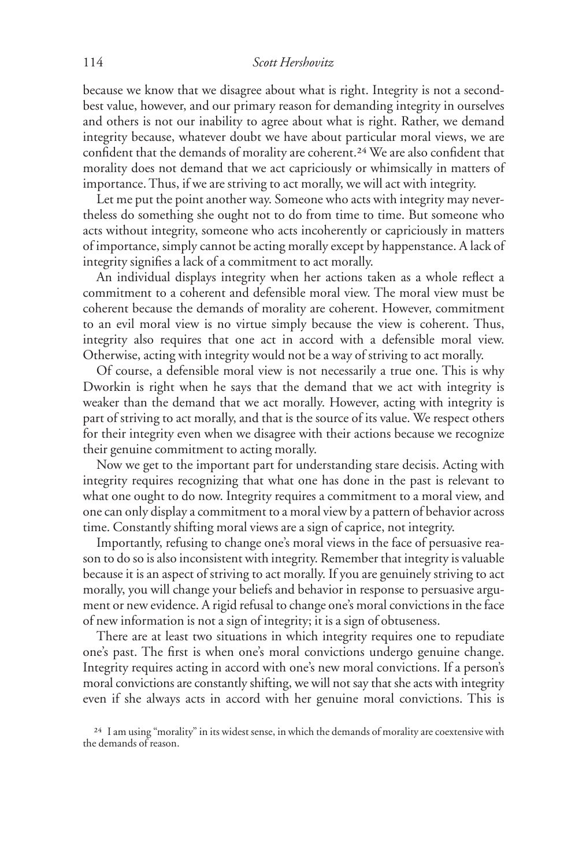because we know that we disagree about what is right. Integrity is not a secondbest value, however, and our primary reason for demanding integrity in ourselves and others is not our inability to agree about what is right. Rather, we demand integrity because, whatever doubt we have about particular moral views, we are confident that the demands of morality are coherent.<sup>24</sup> We are also confident that morality does not demand that we act capriciously or whimsically in matters of importance. Thus, if we are striving to act morally, we will act with integrity.

Let me put the point another way. Someone who acts with integrity may nevertheless do something she ought not to do from time to time. But someone who acts without integrity, someone who acts incoherently or capriciously in matters of importance, simply cannot be acting morally except by happenstance. A lack of integrity signifies a lack of a commitment to act morally.

An individual displays integrity when her actions taken as a whole reflect a commitment to a coherent and defensible moral view. The moral view must be coherent because the demands of morality are coherent. However, commitment to an evil moral view is no virtue simply because the view is coherent. Thus, integrity also requires that one act in accord with a defensible moral view. Otherwise, acting with integrity would not be a way of striving to act morally.

Of course, a defensible moral view is not necessarily a true one. This is why Dworkin is right when he says that the demand that we act with integrity is weaker than the demand that we act morally. However, acting with integrity is part of striving to act morally, and that is the source of its value. We respect others for their integrity even when we disagree with their actions because we recognize their genuine commitment to acting morally.

Now we get to the important part for understanding stare decisis. Acting with integrity requires recognizing that what one has done in the past is relevant to what one ought to do now. Integrity requires a commitment to a moral view, and one can only display a commitment to a moral view by a pattern of behavior across time. Constantly shifting moral views are a sign of caprice, not integrity.

Importantly, refusing to change one's moral views in the face of persuasive reason to do so is also inconsistent with integrity. Remember that integrity is valuable because it is an aspect of striving to act morally. If you are genuinely striving to act morally, you will change your beliefs and behavior in response to persuasive argument or new evidence. A rigid refusal to change one's moral convictions in the face of new information is not a sign of integrity; it is a sign of obtuseness.

There are at least two situations in which integrity requires one to repudiate one's past. The first is when one's moral convictions undergo genuine change. Integrity requires acting in accord with one's new moral convictions. If a person's moral convictions are constantly shifting, we will not say that she acts with integrity even if she always acts in accord with her genuine moral convictions. This is

<sup>24</sup> I am using "morality" in its widest sense, in which the demands of morality are coextensive with the demands of reason.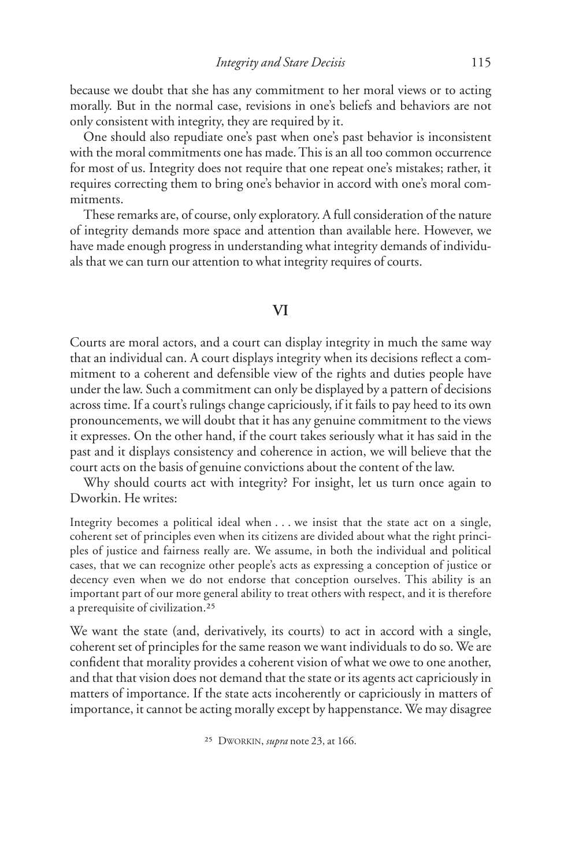because we doubt that she has any commitment to her moral views or to acting morally. But in the normal case, revisions in one's beliefs and behaviors are not only consistent with integrity, they are required by it.

One should also repudiate one's past when one's past behavior is inconsistent with the moral commitments one has made. This is an all too common occurrence for most of us. Integrity does not require that one repeat one's mistakes; rather, it requires correcting them to bring one's behavior in accord with one's moral commitments.

These remarks are, of course, only exploratory. A full consideration of the nature of integrity demands more space and attention than available here. However, we have made enough progress in understanding what integrity demands of individuals that we can turn our attention to what integrity requires of courts.

### **VI**

Courts are moral actors, and a court can display integrity in much the same way that an individual can. A court displays integrity when its decisions reflect a commitment to a coherent and defensible view of the rights and duties people have under the law. Such a commitment can only be displayed by a pattern of decisions across time. If a court's rulings change capriciously, if it fails to pay heed to its own pronouncements, we will doubt that it has any genuine commitment to the views it expresses. On the other hand, if the court takes seriously what it has said in the past and it displays consistency and coherence in action, we will believe that the court acts on the basis of genuine convictions about the content of the law.

Why should courts act with integrity? For insight, let us turn once again to Dworkin. He writes:

Integrity becomes a political ideal when . . . we insist that the state act on a single, coherent set of principles even when its citizens are divided about what the right principles of justice and fairness really are. We assume, in both the individual and political cases, that we can recognize other people's acts as expressing a conception of justice or decency even when we do not endorse that conception ourselves. This ability is an important part of our more general ability to treat others with respect, and it is therefore a prerequisite of civilization.<sup>25</sup>

We want the state (and, derivatively, its courts) to act in accord with a single, coherent set of principles for the same reason we want individuals to do so. We are confident that morality provides a coherent vision of what we owe to one another, and that that vision does not demand that the state or its agents act capriciously in matters of importance. If the state acts incoherently or capriciously in matters of importance, it cannot be acting morally except by happenstance. We may disagree

<sup>25</sup> DWORKIN, *supra* note 23, at 166.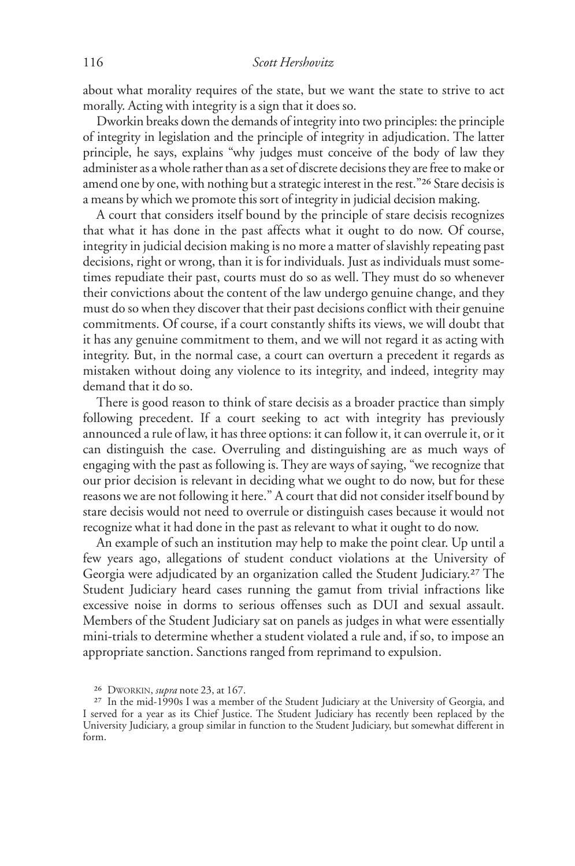about what morality requires of the state, but we want the state to strive to act morally. Acting with integrity is a sign that it does so.

Dworkin breaks down the demands of integrity into two principles: the principle of integrity in legislation and the principle of integrity in adjudication. The latter principle, he says, explains "why judges must conceive of the body of law they administer as a whole rather than as a set of discrete decisions they are free to make or amend one by one, with nothing but a strategic interest in the rest."<sup>26</sup> Stare decisis is a means by which we promote this sort of integrity in judicial decision making.

A court that considers itself bound by the principle of stare decisis recognizes that what it has done in the past affects what it ought to do now. Of course, integrity in judicial decision making is no more a matter of slavishly repeating past decisions, right or wrong, than it is for individuals. Just as individuals must sometimes repudiate their past, courts must do so as well. They must do so whenever their convictions about the content of the law undergo genuine change, and they must do so when they discover that their past decisions conflict with their genuine commitments. Of course, if a court constantly shifts its views, we will doubt that it has any genuine commitment to them, and we will not regard it as acting with integrity. But, in the normal case, a court can overturn a precedent it regards as mistaken without doing any violence to its integrity, and indeed, integrity may demand that it do so.

There is good reason to think of stare decisis as a broader practice than simply following precedent. If a court seeking to act with integrity has previously announced a rule of law, it has three options: it can follow it, it can overrule it, or it can distinguish the case. Overruling and distinguishing are as much ways of engaging with the past as following is. They are ways of saying, "we recognize that our prior decision is relevant in deciding what we ought to do now, but for these reasons we are not following it here." A court that did not consider itself bound by stare decisis would not need to overrule or distinguish cases because it would not recognize what it had done in the past as relevant to what it ought to do now.

An example of such an institution may help to make the point clear. Up until a few years ago, allegations of student conduct violations at the University of Georgia were adjudicated by an organization called the Student Judiciary.<sup>27</sup> The Student Judiciary heard cases running the gamut from trivial infractions like excessive noise in dorms to serious offenses such as DUI and sexual assault. Members of the Student Judiciary sat on panels as judges in what were essentially mini-trials to determine whether a student violated a rule and, if so, to impose an appropriate sanction. Sanctions ranged from reprimand to expulsion.

<sup>&</sup>lt;sup>26</sup> DWORKIN, *supra* note 23, at 167.

<sup>&</sup>lt;sup>27</sup> In the mid-1990s I was a member of the Student Judiciary at the University of Georgia, and I served for a year as its Chief Justice. The Student Judiciary has recently been replaced by the University Judiciary, a group similar in function to the Student Judiciary, but somewhat different in form.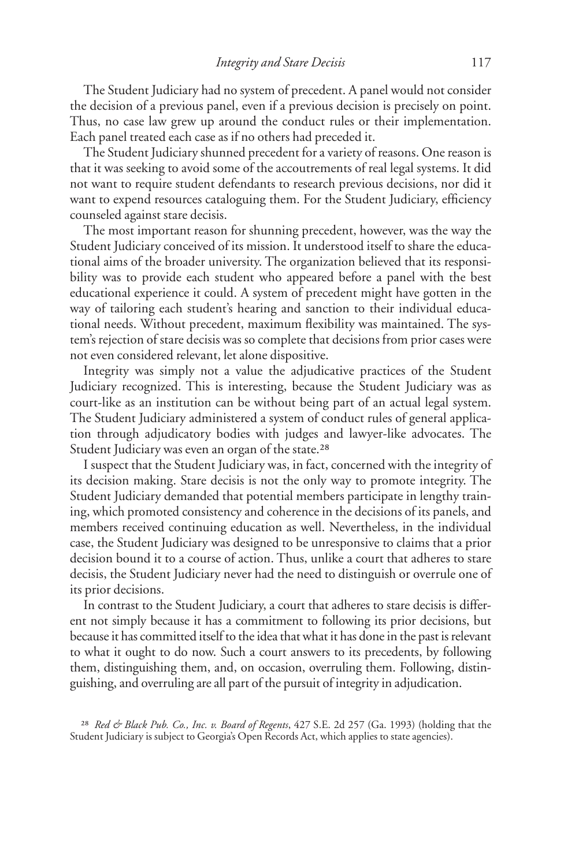The Student Judiciary had no system of precedent. A panel would not consider the decision of a previous panel, even if a previous decision is precisely on point. Thus, no case law grew up around the conduct rules or their implementation. Each panel treated each case as if no others had preceded it.

The Student Judiciary shunned precedent for a variety of reasons. One reason is that it was seeking to avoid some of the accoutrements of real legal systems. It did not want to require student defendants to research previous decisions, nor did it want to expend resources cataloguing them. For the Student Judiciary, efficiency counseled against stare decisis.

The most important reason for shunning precedent, however, was the way the Student Judiciary conceived of its mission. It understood itself to share the educational aims of the broader university. The organization believed that its responsibility was to provide each student who appeared before a panel with the best educational experience it could. A system of precedent might have gotten in the way of tailoring each student's hearing and sanction to their individual educational needs. Without precedent, maximum flexibility was maintained. The system's rejection of stare decisis was so complete that decisions from prior cases were not even considered relevant, let alone dispositive.

Integrity was simply not a value the adjudicative practices of the Student Judiciary recognized. This is interesting, because the Student Judiciary was as court-like as an institution can be without being part of an actual legal system. The Student Judiciary administered a system of conduct rules of general application through adjudicatory bodies with judges and lawyer-like advocates. The Student Judiciary was even an organ of the state.<sup>28</sup>

I suspect that the Student Judiciary was, in fact, concerned with the integrity of its decision making. Stare decisis is not the only way to promote integrity. The Student Judiciary demanded that potential members participate in lengthy training, which promoted consistency and coherence in the decisions of its panels, and members received continuing education as well. Nevertheless, in the individual case, the Student Judiciary was designed to be unresponsive to claims that a prior decision bound it to a course of action. Thus, unlike a court that adheres to stare decisis, the Student Judiciary never had the need to distinguish or overrule one of its prior decisions.

In contrast to the Student Judiciary, a court that adheres to stare decisis is different not simply because it has a commitment to following its prior decisions, but because it has committed itself to the idea that what it has done in the past is relevant to what it ought to do now. Such a court answers to its precedents, by following them, distinguishing them, and, on occasion, overruling them. Following, distinguishing, and overruling are all part of the pursuit of integrity in adjudication.

²⁸ *Red & Black Pub. Co., Inc. v. Board of Regents*, 427 S.E. 2d 257 (Ga. 1993) (holding that the Student Judiciary is subject to Georgia's Open Records Act, which applies to state agencies).